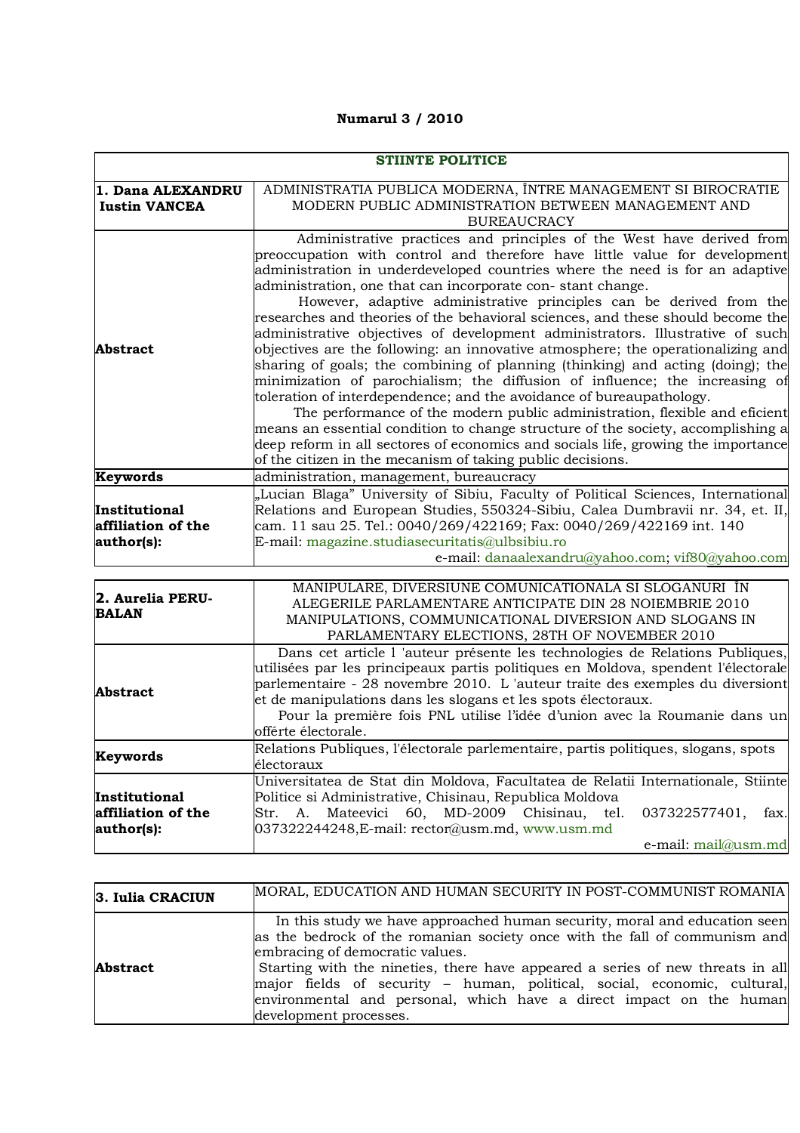**Numarul 3 / 2010**

| <b>STIINTE POLITICE</b>                           |                                                                                                                                                                                                                                                                                                                                                                                                                                                                                                                                                                                                                                                                                                                                                                                                                                                                                                                                                                                                                                                                                                                                  |
|---------------------------------------------------|----------------------------------------------------------------------------------------------------------------------------------------------------------------------------------------------------------------------------------------------------------------------------------------------------------------------------------------------------------------------------------------------------------------------------------------------------------------------------------------------------------------------------------------------------------------------------------------------------------------------------------------------------------------------------------------------------------------------------------------------------------------------------------------------------------------------------------------------------------------------------------------------------------------------------------------------------------------------------------------------------------------------------------------------------------------------------------------------------------------------------------|
| 1. Dana ALEXANDRU<br><b>Iustin VANCEA</b>         | ADMINISTRATIA PUBLICA MODERNA, ÎNTRE MANAGEMENT SI BIROCRATIE<br>MODERN PUBLIC ADMINISTRATION BETWEEN MANAGEMENT AND<br><b>BUREAUCRACY</b>                                                                                                                                                                                                                                                                                                                                                                                                                                                                                                                                                                                                                                                                                                                                                                                                                                                                                                                                                                                       |
| Abstract                                          | Administrative practices and principles of the West have derived from<br>preoccupation with control and therefore have little value for development<br>administration in underdeveloped countries where the need is for an adaptive<br>administration, one that can incorporate con-stant change.<br>However, adaptive administrative principles can be derived from the<br>researches and theories of the behavioral sciences, and these should become the<br>administrative objectives of development administrators. Illustrative of such<br>objectives are the following: an innovative atmosphere; the operationalizing and<br>sharing of goals; the combining of planning (thinking) and acting (doing); the<br>minimization of parochialism; the diffusion of influence; the increasing of<br>toleration of interdependence; and the avoidance of bureaupathology.<br>The performance of the modern public administration, flexible and eficient<br>means an essential condition to change structure of the society, accomplishing a<br>deep reform in all sectores of economics and socials life, growing the importance |
| Keywords                                          | of the citizen in the mecanism of taking public decisions.<br>administration, management, bureaucracy                                                                                                                                                                                                                                                                                                                                                                                                                                                                                                                                                                                                                                                                                                                                                                                                                                                                                                                                                                                                                            |
|                                                   | "Lucian Blaga" University of Sibiu, Faculty of Political Sciences, International                                                                                                                                                                                                                                                                                                                                                                                                                                                                                                                                                                                                                                                                                                                                                                                                                                                                                                                                                                                                                                                 |
| Institutional<br>affiliation of the<br>author(s): | Relations and European Studies, 550324-Sibiu, Calea Dumbravii nr. 34, et. II,<br>cam. 11 sau 25. Tel.: 0040/269/422169; Fax: 0040/269/422169 int. 140<br>E-mail: magazine.studiasecuritatis@ulbsibiu.ro<br>e-mail: danaalexandru@yahoo.com; vif80@yahoo.com                                                                                                                                                                                                                                                                                                                                                                                                                                                                                                                                                                                                                                                                                                                                                                                                                                                                      |
| 2. Aurelia PERU-<br><b>BALAN</b>                  | MANIPULARE, DIVERSIUNE COMUNICATIONALA SI SLOGANURI ÎN<br>ALEGERILE PARLAMENTARE ANTICIPATE DIN 28 NOIEMBRIE 2010<br>MANIPULATIONS, COMMUNICATIONAL DIVERSION AND SLOGANS IN<br>PARLAMENTARY ELECTIONS, 28TH OF NOVEMBER 2010                                                                                                                                                                                                                                                                                                                                                                                                                                                                                                                                                                                                                                                                                                                                                                                                                                                                                                    |
| <b>Abstract</b>                                   | Dans cet article l'auteur présente les technologies de Relations Publiques,<br>utilisées par les principeaux partis politiques en Moldova, spendent l'électorale<br>parlementaire - 28 novembre 2010. L'auteur traite des exemples du diversiont<br>et de manipulations dans les slogans et les spots électoraux.<br>Pour la première fois PNL utilise l'idée d'union avec la Roumanie dans un<br>offérte électorale.                                                                                                                                                                                                                                                                                                                                                                                                                                                                                                                                                                                                                                                                                                            |
| Keywords                                          | Relations Publiques, l'électorale parlementaire, partis politiques, slogans, spots<br>électoraux                                                                                                                                                                                                                                                                                                                                                                                                                                                                                                                                                                                                                                                                                                                                                                                                                                                                                                                                                                                                                                 |
| Institutional<br>affiliation of the<br>author(s): | Universitatea de Stat din Moldova, Facultatea de Relatii Internationale, Stiinte<br>Politice si Administrative, Chisinau, Republica Moldova<br>60, MD-2009<br>Mateevici<br>Chisinau,<br>037322577401,<br>Str.<br>A.<br>tel.<br>fax.<br>$037322244248$ , E-mail: rector@usm.md, www.usm.md<br>e-mail: mail@usm.md                                                                                                                                                                                                                                                                                                                                                                                                                                                                                                                                                                                                                                                                                                                                                                                                                 |

| 3. Iulia CRACIUN | MORAL, EDUCATION AND HUMAN SECURITY IN POST-COMMUNIST ROMANIA                                                                                                                                                                                                                                                                                                                                                                                             |
|------------------|-----------------------------------------------------------------------------------------------------------------------------------------------------------------------------------------------------------------------------------------------------------------------------------------------------------------------------------------------------------------------------------------------------------------------------------------------------------|
| <b>Abstract</b>  | In this study we have approached human security, moral and education seen<br>as the bedrock of the romanian society once with the fall of communism and<br>embracing of democratic values.<br>Starting with the nineties, there have appeared a series of new threats in all<br>major fields of security - human, political, social, economic, cultural,<br>environmental and personal, which have a direct impact on the human<br>development processes. |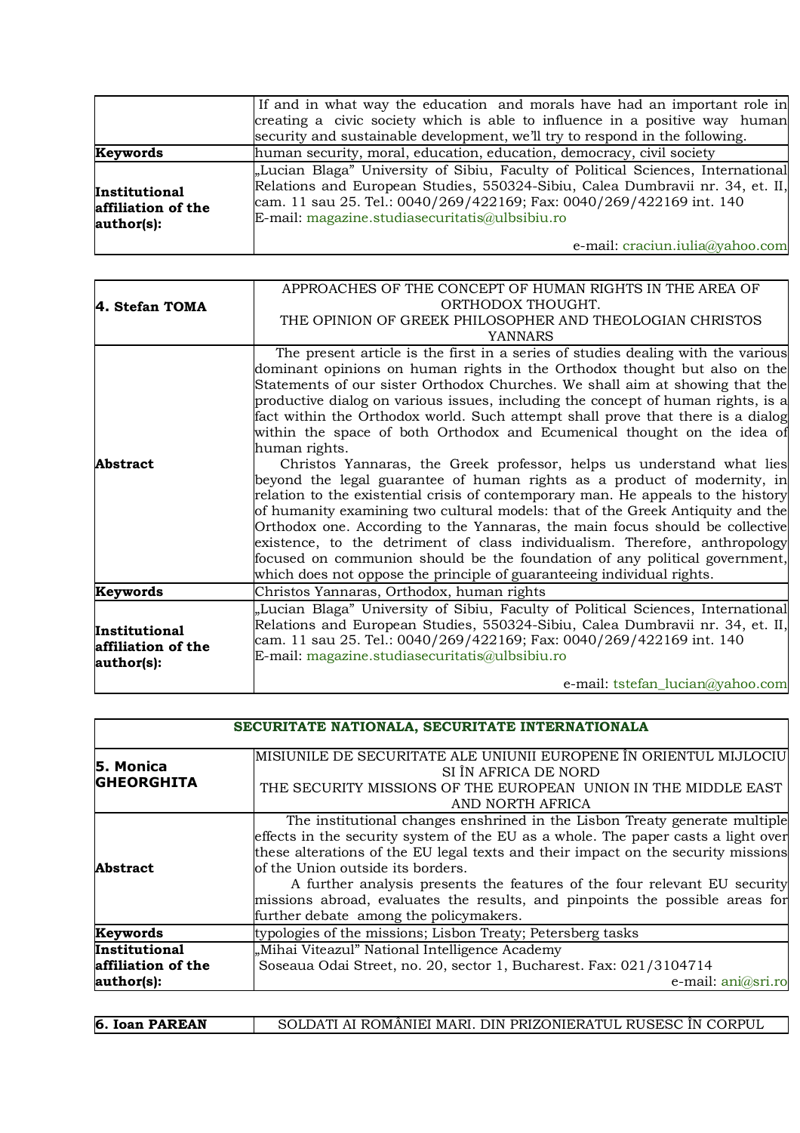|                                                   | If and in what way the education and morals have had an important role in<br>creating a civic society which is able to influence in a positive way human<br>security and sustainable development, we'll try to respond in the following.                                                    |
|---------------------------------------------------|---------------------------------------------------------------------------------------------------------------------------------------------------------------------------------------------------------------------------------------------------------------------------------------------|
| Keywords                                          | human security, moral, education, education, democracy, civil society                                                                                                                                                                                                                       |
| Institutional<br>affiliation of the<br>author(s): | "Lucian Blaga" University of Sibiu, Faculty of Political Sciences, International<br>Relations and European Studies, 550324-Sibiu, Calea Dumbravii nr. 34, et. II,<br>cam. 11 sau 25. Tel.: 0040/269/422169; Fax: 0040/269/422169 int. 140<br>E-mail: magazine.studiasecuritatis@ulbsibiu.ro |
|                                                   | e-mail: craciun.iulia@yahoo.com                                                                                                                                                                                                                                                             |

|                    | APPROACHES OF THE CONCEPT OF HUMAN RIGHTS IN THE AREA OF                          |
|--------------------|-----------------------------------------------------------------------------------|
| 4. Stefan TOMA     | ORTHODOX THOUGHT.                                                                 |
|                    | THE OPINION OF GREEK PHILOSOPHER AND THEOLOGIAN CHRISTOS                          |
|                    | <b>YANNARS</b>                                                                    |
|                    | The present article is the first in a series of studies dealing with the various  |
|                    | dominant opinions on human rights in the Orthodox thought but also on the         |
|                    | Statements of our sister Orthodox Churches. We shall aim at showing that the      |
|                    | productive dialog on various issues, including the concept of human rights, is a  |
|                    | fact within the Orthodox world. Such attempt shall prove that there is a dialog   |
|                    | within the space of both Orthodox and Ecumenical thought on the idea of           |
|                    | human rights.                                                                     |
| <b>Abstract</b>    | Christos Yannaras, the Greek professor, helps us understand what lies             |
|                    | beyond the legal guarantee of human rights as a product of modernity, in          |
|                    | relation to the existential crisis of contemporary man. He appeals to the history |
|                    | of humanity examining two cultural models: that of the Greek Antiquity and the    |
|                    | Orthodox one. According to the Yannaras, the main focus should be collective      |
|                    | existence, to the detriment of class individualism. Therefore, anthropology       |
|                    | focused on communion should be the foundation of any political government,        |
|                    | which does not oppose the principle of guaranteeing individual rights.            |
| Keywords           | Christos Yannaras, Orthodox, human rights                                         |
|                    | "Lucian Blaga" University of Sibiu, Faculty of Political Sciences, International  |
| Institutional      | Relations and European Studies, 550324-Sibiu, Calea Dumbravii nr. 34, et. II,     |
| affiliation of the | cam. 11 sau 25. Tel.: 0040/269/422169; Fax: 0040/269/422169 int. 140              |
| author(s):         | E-mail: magazine.studiasecuritatis@ulbsibiu.ro                                    |
|                    | e-mail: tstefan_lucian@yahoo.com                                                  |

| SECURITATE NATIONALA, SECURITATE INTERNATIONALA   |                                                                                                                                                                                                                                                                                                                                                                                                                                                                                                  |
|---------------------------------------------------|--------------------------------------------------------------------------------------------------------------------------------------------------------------------------------------------------------------------------------------------------------------------------------------------------------------------------------------------------------------------------------------------------------------------------------------------------------------------------------------------------|
| 5. Monica<br><b>GHEORGHITA</b>                    | MISIUNILE DE SECURITATE ALE UNIUNII EUROPENE ÎN ORIENTUL MIJLOCIU<br>SI ÎN AFRICA DE NORD<br>THE SECURITY MISSIONS OF THE EUROPEAN UNION IN THE MIDDLE EAST<br>AND NORTH AFRICA                                                                                                                                                                                                                                                                                                                  |
| Abstract                                          | The institutional changes enshrined in the Lisbon Treaty generate multiple<br>effects in the security system of the EU as a whole. The paper casts a light over<br>these alterations of the EU legal texts and their impact on the security missions<br>of the Union outside its borders.<br>A further analysis presents the features of the four relevant EU security<br>missions abroad, evaluates the results, and pinpoints the possible areas for<br>further debate among the policymakers. |
| Keywords                                          | typologies of the missions; Lisbon Treaty; Petersberg tasks                                                                                                                                                                                                                                                                                                                                                                                                                                      |
| Institutional<br>affiliation of the<br>author(s): | "Mihai Viteazul" National Intelligence Academy<br>Soseaua Odai Street, no. 20, sector 1, Bucharest. Fax: 021/3104714<br>e-mail: ani@sri.ro                                                                                                                                                                                                                                                                                                                                                       |

| 6. Ioan PAREAN | SOLDATI AI ROMÂNIEI MARI. DIN PRIZONIERATUL RUSESC ÎN CORPUL |
|----------------|--------------------------------------------------------------|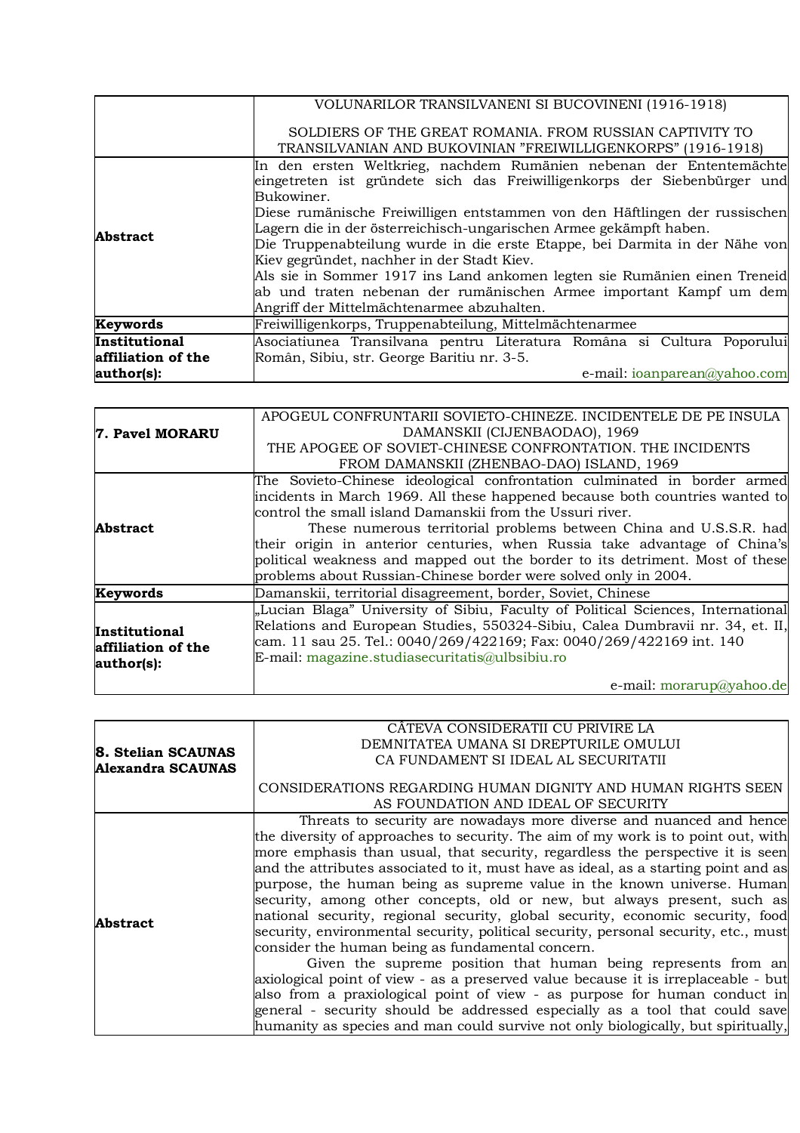|                                                   | VOLUNARILOR TRANSILVANENI SI BUCOVINENI (1916-1918)                                                                                                                                                                                                                                                                                                                                                                                                                                                                                                                                                                                             |
|---------------------------------------------------|-------------------------------------------------------------------------------------------------------------------------------------------------------------------------------------------------------------------------------------------------------------------------------------------------------------------------------------------------------------------------------------------------------------------------------------------------------------------------------------------------------------------------------------------------------------------------------------------------------------------------------------------------|
|                                                   | SOLDIERS OF THE GREAT ROMANIA. FROM RUSSIAN CAPTIVITY TO<br>TRANSILVANIAN AND BUKOVINIAN "FREIWILLIGENKORPS" (1916-1918)                                                                                                                                                                                                                                                                                                                                                                                                                                                                                                                        |
| <b>Abstract</b>                                   | In den ersten Weltkrieg, nachdem Rumänien nebenan der Ententemächte<br>eingetreten ist gründete sich das Freiwilligenkorps der Siebenbürger und<br>Bukowiner.<br>Diese rumänische Freiwilligen entstammen von den Häftlingen der russischen<br>Lagern die in der österreichisch-ungarischen Armee gekämpft haben.<br>Die Truppenabteilung wurde in die erste Etappe, bei Darmita in der Nähe von<br>Kiev gegründet, nachher in der Stadt Kiev.<br>Als sie in Sommer 1917 ins Land ankomen legten sie Rumänien einen Treneid<br>ab und traten nebenan der rumänischen Armee important Kampf um dem<br>Angriff der Mittelmächtenarmee abzuhalten. |
| Keywords                                          | Freiwilligenkorps, Truppenabteilung, Mittelmächtenarmee                                                                                                                                                                                                                                                                                                                                                                                                                                                                                                                                                                                         |
| Institutional<br>affiliation of the<br>author(s): | Asociatiunea Transilvana pentru Literatura Româna si Cultura Poporului<br>Român, Sibiu, str. George Baritiu nr. 3-5.<br>e-mail: ioanparean@yahoo.com                                                                                                                                                                                                                                                                                                                                                                                                                                                                                            |

|                      | APOGEUL CONFRUNTARII SOVIETO-CHINEZE. INCIDENTELE DE PE INSULA                   |
|----------------------|----------------------------------------------------------------------------------|
|                      |                                                                                  |
| 7. Pavel MORARU      | DAMANSKII (CIJENBAODAO), 1969                                                    |
|                      | THE APOGEE OF SOVIET-CHINESE CONFRONTATION. THE INCIDENTS                        |
|                      | FROM DAMANSKII (ZHENBAO-DAO) ISLAND, 1969                                        |
|                      | The Sovieto-Chinese ideological confrontation culminated in border armed         |
|                      | incidents in March 1969. All these happened because both countries wanted to     |
|                      | control the small island Damanskii from the Ussuri river.                        |
| <b>Abstract</b>      | These numerous territorial problems between China and U.S.S.R. had               |
|                      | their origin in anterior centuries, when Russia take advantage of China's        |
|                      | political weakness and mapped out the border to its detriment. Most of these     |
|                      | problems about Russian-Chinese border were solved only in 2004.                  |
| Keywords             | Damanskii, territorial disagreement, border, Soviet, Chinese                     |
|                      | "Lucian Blaga" University of Sibiu, Faculty of Political Sciences, International |
| <b>Institutional</b> | Relations and European Studies, 550324-Sibiu, Calea Dumbravii nr. 34, et. II,    |
| affiliation of the   | cam. 11 sau 25. Tel.: 0040/269/422169; Fax: 0040/269/422169 int. 140             |
|                      | E-mail: magazine.studiasecuritatis@ulbsibiu.ro                                   |
| author(s):           |                                                                                  |
|                      | e-mail: morarup@yahoo.de                                                         |

|                                         | CĂTEVA CONSIDERATII CU PRIVIRE LA                                                   |
|-----------------------------------------|-------------------------------------------------------------------------------------|
|                                         | DEMNITATEA UMANA SI DREPTURILE OMULUI                                               |
| 8. Stelian SCAUNAS<br>Alexandra SCAUNAS | CA FUNDAMENT SI IDEAL AL SECURITATII                                                |
|                                         |                                                                                     |
|                                         | CONSIDERATIONS REGARDING HUMAN DIGNITY AND HUMAN RIGHTS SEEN                        |
|                                         | AS FOUNDATION AND IDEAL OF SECURITY                                                 |
|                                         | Threats to security are nowadays more diverse and nuanced and hence                 |
|                                         | the diversity of approaches to security. The aim of my work is to point out, with   |
|                                         | more emphasis than usual, that security, regardless the perspective it is seen      |
|                                         | and the attributes associated to it, must have as ideal, as a starting point and as |
|                                         | purpose, the human being as supreme value in the known universe. Human              |
|                                         | security, among other concepts, old or new, but always present, such as             |
|                                         | national security, regional security, global security, economic security, food      |
| <b>Abstract</b>                         | security, environmental security, political security, personal security, etc., must |
|                                         | consider the human being as fundamental concern.                                    |
|                                         | Given the supreme position that human being represents from an                      |
|                                         | axiological point of view - as a preserved value because it is irreplaceable - but  |
|                                         | also from a praxiological point of view - as purpose for human conduct in           |
|                                         | general - security should be addressed especially as a tool that could save         |
|                                         | humanity as species and man could survive not only biologically, but spiritually,   |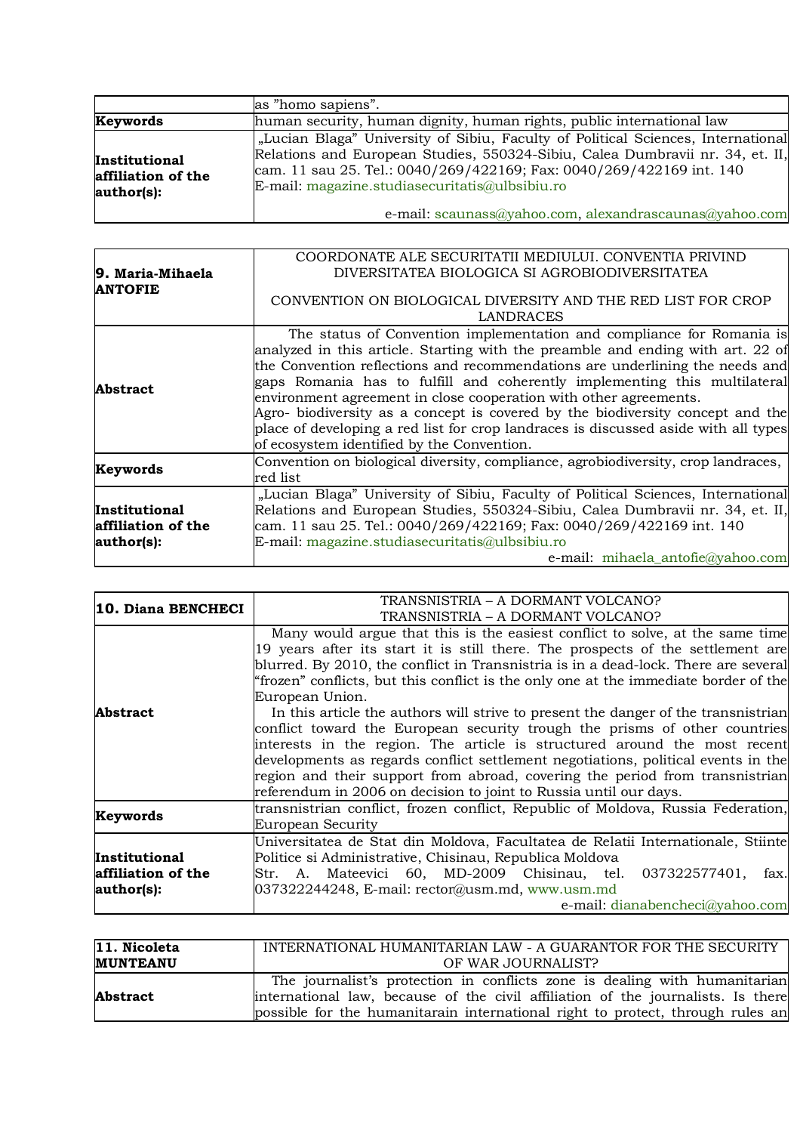|                                                   | as "homo sapiens".                                                                                                                                                                                                                                                                                                                                    |
|---------------------------------------------------|-------------------------------------------------------------------------------------------------------------------------------------------------------------------------------------------------------------------------------------------------------------------------------------------------------------------------------------------------------|
| Keywords                                          | human security, human dignity, human rights, public international law                                                                                                                                                                                                                                                                                 |
| Institutional<br>affiliation of the<br>author(s): | "Lucian Blaga" University of Sibiu, Faculty of Political Sciences, International<br>Relations and European Studies, 550324-Sibiu, Calea Dumbravii nr. 34, et. II,<br>cam. 11 sau 25. Tel.: 0040/269/422169; Fax: 0040/269/422169 int. 140<br>E-mail: magazine.studiasecuritatis@ulbsibiu.ro<br>e-mail: scaunass@yahoo.com, alexandrascaunas@yahoo.com |

|                      | COORDONATE ALE SECURITATII MEDIULUI. CONVENTIA PRIVIND                              |
|----------------------|-------------------------------------------------------------------------------------|
| 9. Maria-Mihaela     | DIVERSITATEA BIOLOGICA SI AGROBIODIVERSITATEA                                       |
|                      |                                                                                     |
| <b>ANTOFIE</b>       | CONVENTION ON BIOLOGICAL DIVERSITY AND THE RED LIST FOR CROP                        |
|                      |                                                                                     |
|                      | <b>LANDRACES</b>                                                                    |
|                      | The status of Convention implementation and compliance for Romania is               |
|                      | analyzed in this article. Starting with the preamble and ending with art. 22 of     |
|                      | the Convention reflections and recommendations are underlining the needs and        |
|                      | gaps Romania has to fulfill and coherently implementing this multilateral           |
| <b>Abstract</b>      |                                                                                     |
|                      | environment agreement in close cooperation with other agreements.                   |
|                      | Agro- biodiversity as a concept is covered by the biodiversity concept and the      |
|                      | place of developing a red list for crop landraces is discussed aside with all types |
|                      | of ecosystem identified by the Convention.                                          |
|                      |                                                                                     |
| Keywords             | Convention on biological diversity, compliance, agrobiodiversity, crop landraces,   |
|                      | red list                                                                            |
|                      | "Lucian Blaga" University of Sibiu, Faculty of Political Sciences, International    |
| <b>Institutional</b> | Relations and European Studies, 550324-Sibiu, Calea Dumbravii nr. 34, et. II,       |
| affiliation of the   | cam. 11 sau 25. Tel.: 0040/269/422169; Fax: 0040/269/422169 int. 140                |
|                      |                                                                                     |
| author(s):           | E-mail: magazine.studiasecuritatis@ulbsibiu.ro                                      |
|                      | e-mail: mihaela_antofie@yahoo.com                                                   |

| <b>10. Diana BENCHECI</b>                         | TRANSNISTRIA - A DORMANT VOLCANO?<br>TRANSNISTRIA – A DORMANT VOLCANO?                                                                                                                                                                                                                                                                                                                                                                                                                                                                                                                                                                                                                                                                                                                                                                                        |
|---------------------------------------------------|---------------------------------------------------------------------------------------------------------------------------------------------------------------------------------------------------------------------------------------------------------------------------------------------------------------------------------------------------------------------------------------------------------------------------------------------------------------------------------------------------------------------------------------------------------------------------------------------------------------------------------------------------------------------------------------------------------------------------------------------------------------------------------------------------------------------------------------------------------------|
| <b>Abstract</b>                                   | Many would argue that this is the easiest conflict to solve, at the same time<br>19 years after its start it is still there. The prospects of the settlement are<br>blurred. By 2010, the conflict in Transnistria is in a dead-lock. There are several<br>"frozen" conflicts, but this conflict is the only one at the immediate border of the<br>European Union.<br>In this article the authors will strive to present the danger of the transnistrian<br>conflict toward the European security trough the prisms of other countries<br>interests in the region. The article is structured around the most recent<br>developments as regards conflict settlement negotiations, political events in the<br>region and their support from abroad, covering the period from transnistrian<br>referendum in 2006 on decision to joint to Russia until our days. |
| Keywords                                          | transnistrian conflict, frozen conflict, Republic of Moldova, Russia Federation,<br>European Security                                                                                                                                                                                                                                                                                                                                                                                                                                                                                                                                                                                                                                                                                                                                                         |
| Institutional<br>affiliation of the<br>author(s): | Universitatea de Stat din Moldova, Facultatea de Relatii Internationale, Stiinte<br>Politice si Administrative, Chisinau, Republica Moldova<br>Str. A. Mateevici 60, MD-2009 Chisinau, tel. 037322577401,<br>fax.<br>$037322244248$ , E-mail: rector@usm.md, www.usm.md<br>e-mail: dianabencheci@yahoo.com                                                                                                                                                                                                                                                                                                                                                                                                                                                                                                                                                    |

| 11. Nicoleta    | INTERNATIONAL HUMANITARIAN LAW - A GUARANTOR FOR THE SECURITY                    |
|-----------------|----------------------------------------------------------------------------------|
| <b>MUNTEANU</b> | OF WAR JOURNALIST?                                                               |
|                 | The journalist's protection in conflicts zone is dealing with humanitarian       |
| <b>Abstract</b> | international law, because of the civil affiliation of the journalists. Is there |
|                 | possible for the humanitarain international right to protect, through rules an   |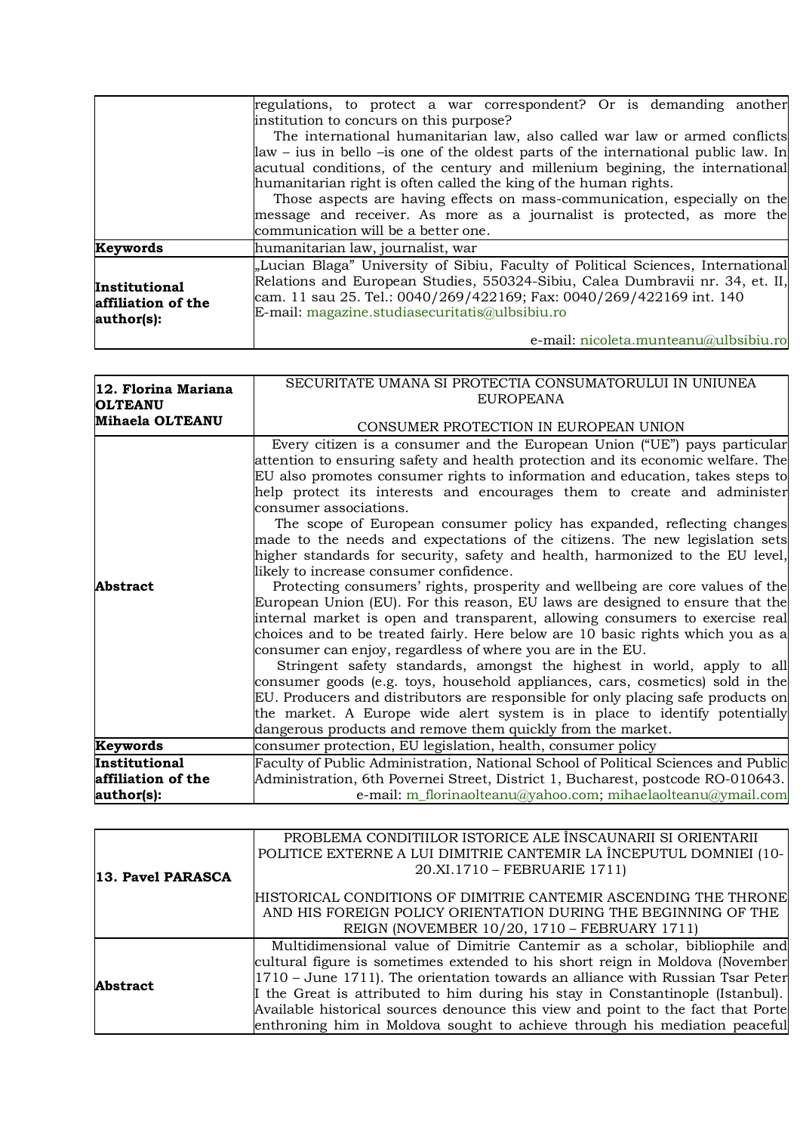|                                                   | regulations, to protect a war correspondent? Or is demanding another                                                                                                                                                                                                                        |
|---------------------------------------------------|---------------------------------------------------------------------------------------------------------------------------------------------------------------------------------------------------------------------------------------------------------------------------------------------|
|                                                   | institution to concurs on this purpose?                                                                                                                                                                                                                                                     |
|                                                   | The international humanitarian law, also called war law or armed conflicts                                                                                                                                                                                                                  |
|                                                   | $\alpha$ alaw – ius in bello – is one of the oldest parts of the international public law. In                                                                                                                                                                                               |
|                                                   | acutual conditions, of the century and millenium begining, the international                                                                                                                                                                                                                |
|                                                   | humanitarian right is often called the king of the human rights.                                                                                                                                                                                                                            |
|                                                   | Those aspects are having effects on mass-communication, especially on the                                                                                                                                                                                                                   |
|                                                   | message and receiver. As more as a journalist is protected, as more the                                                                                                                                                                                                                     |
|                                                   | communication will be a better one.                                                                                                                                                                                                                                                         |
| Keywords                                          | humanitarian law, journalist, war                                                                                                                                                                                                                                                           |
| Institutional<br>affiliation of the<br>author(s): | "Lucian Blaga" University of Sibiu, Faculty of Political Sciences, International<br>Relations and European Studies, 550324-Sibiu, Calea Dumbravii nr. 34, et. II,<br>cam. 11 sau 25. Tel.: 0040/269/422169; Fax: 0040/269/422169 int. 140<br>E-mail: magazine.studiasecuritatis@ulbsibiu.ro |
|                                                   | e-mail: nicoleta.munteanu@ulbsibiu.ro                                                                                                                                                                                                                                                       |

| 12. Florina Mariana<br><b>OLTEANU</b>             | SECURITATE UMANA SI PROTECTIA CONSUMATORULUI IN UNIUNEA<br><b>EUROPEANA</b>                                                                                                                                                                                                                                                                                                                                                                                                                                                                                                                                                                                                                                                                                                                                                                                                                                                                                                                                                                                                                                                                                                                                                                                                                                                                                                                                                              |
|---------------------------------------------------|------------------------------------------------------------------------------------------------------------------------------------------------------------------------------------------------------------------------------------------------------------------------------------------------------------------------------------------------------------------------------------------------------------------------------------------------------------------------------------------------------------------------------------------------------------------------------------------------------------------------------------------------------------------------------------------------------------------------------------------------------------------------------------------------------------------------------------------------------------------------------------------------------------------------------------------------------------------------------------------------------------------------------------------------------------------------------------------------------------------------------------------------------------------------------------------------------------------------------------------------------------------------------------------------------------------------------------------------------------------------------------------------------------------------------------------|
| Mihaela OLTEANU                                   | CONSUMER PROTECTION IN EUROPEAN UNION                                                                                                                                                                                                                                                                                                                                                                                                                                                                                                                                                                                                                                                                                                                                                                                                                                                                                                                                                                                                                                                                                                                                                                                                                                                                                                                                                                                                    |
| <b>Abstract</b>                                   | Every citizen is a consumer and the European Union ("UE") pays particular<br>attention to ensuring safety and health protection and its economic welfare. The<br>EU also promotes consumer rights to information and education, takes steps to<br>help protect its interests and encourages them to create and administer<br>consumer associations.<br>The scope of European consumer policy has expanded, reflecting changes<br>made to the needs and expectations of the citizens. The new legislation sets<br>higher standards for security, safety and health, harmonized to the EU level,<br>likely to increase consumer confidence.<br>Protecting consumers' rights, prosperity and wellbeing are core values of the<br>European Union (EU). For this reason, EU laws are designed to ensure that the<br>internal market is open and transparent, allowing consumers to exercise real<br>choices and to be treated fairly. Here below are 10 basic rights which you as a<br>consumer can enjoy, regardless of where you are in the EU.<br>Stringent safety standards, amongst the highest in world, apply to all<br>consumer goods (e.g. toys, household appliances, cars, cosmetics) sold in the<br>EU. Producers and distributors are responsible for only placing safe products on<br>the market. A Europe wide alert system is in place to identify potentially<br>dangerous products and remove them quickly from the market. |
| Keywords                                          | consumer protection, EU legislation, health, consumer policy                                                                                                                                                                                                                                                                                                                                                                                                                                                                                                                                                                                                                                                                                                                                                                                                                                                                                                                                                                                                                                                                                                                                                                                                                                                                                                                                                                             |
| Institutional<br>affiliation of the<br>author(s): | Faculty of Public Administration, National School of Political Sciences and Public<br>Administration, 6th Povernei Street, District 1, Bucharest, postcode RO-010643.<br>e-mail: m_florinaolteanu@yahoo.com; mihaelaolteanu@ymail.com                                                                                                                                                                                                                                                                                                                                                                                                                                                                                                                                                                                                                                                                                                                                                                                                                                                                                                                                                                                                                                                                                                                                                                                                    |

|                   | PROBLEMA CONDITIILOR ISTORICE ALE ÎNSCAUNARII SI ORIENTARII                      |
|-------------------|----------------------------------------------------------------------------------|
|                   | POLITICE EXTERNE A LUI DIMITRIE CANTEMIR LA ÎNCEPUTUL DOMNIEI (10-               |
| 13. Pavel PARASCA | 20.XI.1710 - FEBRUARIE 1711)                                                     |
|                   |                                                                                  |
|                   | HISTORICAL CONDITIONS OF DIMITRIE CANTEMIR ASCENDING THE THRONE                  |
|                   | AND HIS FOREIGN POLICY ORIENTATION DURING THE BEGINNING OF THE                   |
|                   | REIGN (NOVEMBER 10/20, 1710 – FEBRUARY 1711)                                     |
|                   | Multidimensional value of Dimitrie Cantemir as a scholar, bibliophile and        |
| <b>Abstract</b>   | cultural figure is sometimes extended to his short reign in Moldova (November    |
|                   | $1710$ – June 1711). The orientation towards an alliance with Russian Tsar Peter |
|                   | I the Great is attributed to him during his stay in Constantinople (Istanbul).   |
|                   | Available historical sources denounce this view and point to the fact that Porte |
|                   | enthroning him in Moldova sought to achieve through his mediation peaceful       |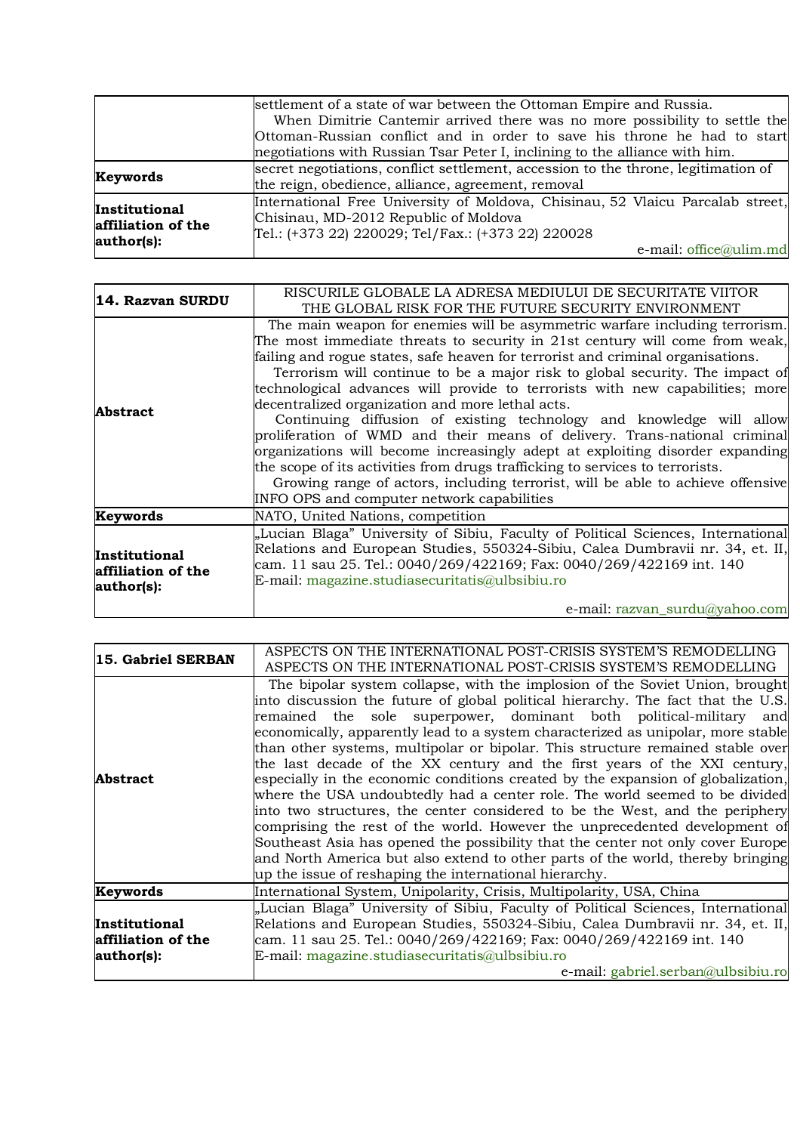|                                                   | settlement of a state of war between the Ottoman Empire and Russia.                |
|---------------------------------------------------|------------------------------------------------------------------------------------|
|                                                   | When Dimitrie Cantemir arrived there was no more possibility to settle the         |
|                                                   | Ottoman-Russian conflict and in order to save his throne he had to start           |
|                                                   | negotiations with Russian Tsar Peter I, inclining to the alliance with him.        |
| Keywords                                          | secret negotiations, conflict settlement, accession to the throne, legitimation of |
|                                                   | the reign, obedience, alliance, agreement, removal                                 |
| Institutional<br>affiliation of the<br>author(s): | International Free University of Moldova, Chisinau, 52 Vlaicu Parcalab street,     |
|                                                   | Chisinau, MD-2012 Republic of Moldova                                              |
|                                                   | Tel.: (+373 22) 220029; Tel/Fax.: (+373 22) 220028                                 |
|                                                   | e-mail: office@ulim.md                                                             |

| 14. Razvan SURDU                                         | RISCURILE GLOBALE LA ADRESA MEDIULUI DE SECURITATE VIITOR<br>THE GLOBAL RISK FOR THE FUTURE SECURITY ENVIRONMENT                                                                                                                                                                                                                                                                                                                                                                                                                                                                                                                                                                                                                                                                                                                                                                                                           |
|----------------------------------------------------------|----------------------------------------------------------------------------------------------------------------------------------------------------------------------------------------------------------------------------------------------------------------------------------------------------------------------------------------------------------------------------------------------------------------------------------------------------------------------------------------------------------------------------------------------------------------------------------------------------------------------------------------------------------------------------------------------------------------------------------------------------------------------------------------------------------------------------------------------------------------------------------------------------------------------------|
| <b>Abstract</b>                                          | The main weapon for enemies will be asymmetric warfare including terrorism.<br>The most immediate threats to security in 21st century will come from weak,<br>failing and rogue states, safe heaven for terrorist and criminal organisations.<br>Terrorism will continue to be a major risk to global security. The impact of<br>technological advances will provide to terrorists with new capabilities; more<br>decentralized organization and more lethal acts.<br>Continuing diffusion of existing technology and knowledge will allow<br>proliferation of WMD and their means of delivery. Trans-national criminal<br>organizations will become increasingly adept at exploiting disorder expanding<br>the scope of its activities from drugs trafficking to services to terrorists.<br>Growing range of actors, including terrorist, will be able to achieve offensive<br>INFO OPS and computer network capabilities |
| Keywords                                                 | NATO, United Nations, competition                                                                                                                                                                                                                                                                                                                                                                                                                                                                                                                                                                                                                                                                                                                                                                                                                                                                                          |
| <b>Institutional</b><br>affiliation of the<br>author(s): | "Lucian Blaga" University of Sibiu, Faculty of Political Sciences, International<br>Relations and European Studies, 550324-Sibiu, Calea Dumbravii nr. 34, et. II,<br>cam. 11 sau 25. Tel.: 0040/269/422169; Fax: 0040/269/422169 int. 140<br>E-mail: magazine.studiasecuritatis@ulbsibiu.ro                                                                                                                                                                                                                                                                                                                                                                                                                                                                                                                                                                                                                                |
|                                                          | e-mail: razvan_surdu@yahoo.com                                                                                                                                                                                                                                                                                                                                                                                                                                                                                                                                                                                                                                                                                                                                                                                                                                                                                             |

| 15. Gabriel SERBAN                                       | ASPECTS ON THE INTERNATIONAL POST-CRISIS SYSTEM'S REMODELLING<br>ASPECTS ON THE INTERNATIONAL POST-CRISIS SYSTEM'S REMODELLING                                                                                                                                                                                                                                                                                                                                                                                                                                                                                                                                                                                                                                                                                                                                                                                                                                                                                                                             |
|----------------------------------------------------------|------------------------------------------------------------------------------------------------------------------------------------------------------------------------------------------------------------------------------------------------------------------------------------------------------------------------------------------------------------------------------------------------------------------------------------------------------------------------------------------------------------------------------------------------------------------------------------------------------------------------------------------------------------------------------------------------------------------------------------------------------------------------------------------------------------------------------------------------------------------------------------------------------------------------------------------------------------------------------------------------------------------------------------------------------------|
| Abstract                                                 | The bipolar system collapse, with the implosion of the Soviet Union, brought<br>into discussion the future of global political hierarchy. The fact that the U.S.<br>remained the sole superpower, dominant both political-military and<br>economically, apparently lead to a system characterized as unipolar, more stable<br>than other systems, multipolar or bipolar. This structure remained stable over<br>the last decade of the XX century and the first years of the XXI century,<br>especially in the economic conditions created by the expansion of globalization,<br>where the USA undoubtedly had a center role. The world seemed to be divided<br>into two structures, the center considered to be the West, and the periphery<br>comprising the rest of the world. However the unprecedented development of<br>Southeast Asia has opened the possibility that the center not only cover Europe<br>and North America but also extend to other parts of the world, thereby bringing<br>up the issue of reshaping the international hierarchy. |
| Keywords                                                 | International System, Unipolarity, Crisis, Multipolarity, USA, China                                                                                                                                                                                                                                                                                                                                                                                                                                                                                                                                                                                                                                                                                                                                                                                                                                                                                                                                                                                       |
| <b>Institutional</b><br>affiliation of the<br>author(s): | "Lucian Blaga" University of Sibiu, Faculty of Political Sciences, International<br>Relations and European Studies, 550324-Sibiu, Calea Dumbravii nr. 34, et. II,<br>cam. 11 sau 25. Tel.: 0040/269/422169; Fax: 0040/269/422169 int. 140<br>E-mail: magazine.studiasecuritatis@ulbsibiu.ro<br>e-mail: gabriel.serban@ulbsibiu.ro                                                                                                                                                                                                                                                                                                                                                                                                                                                                                                                                                                                                                                                                                                                          |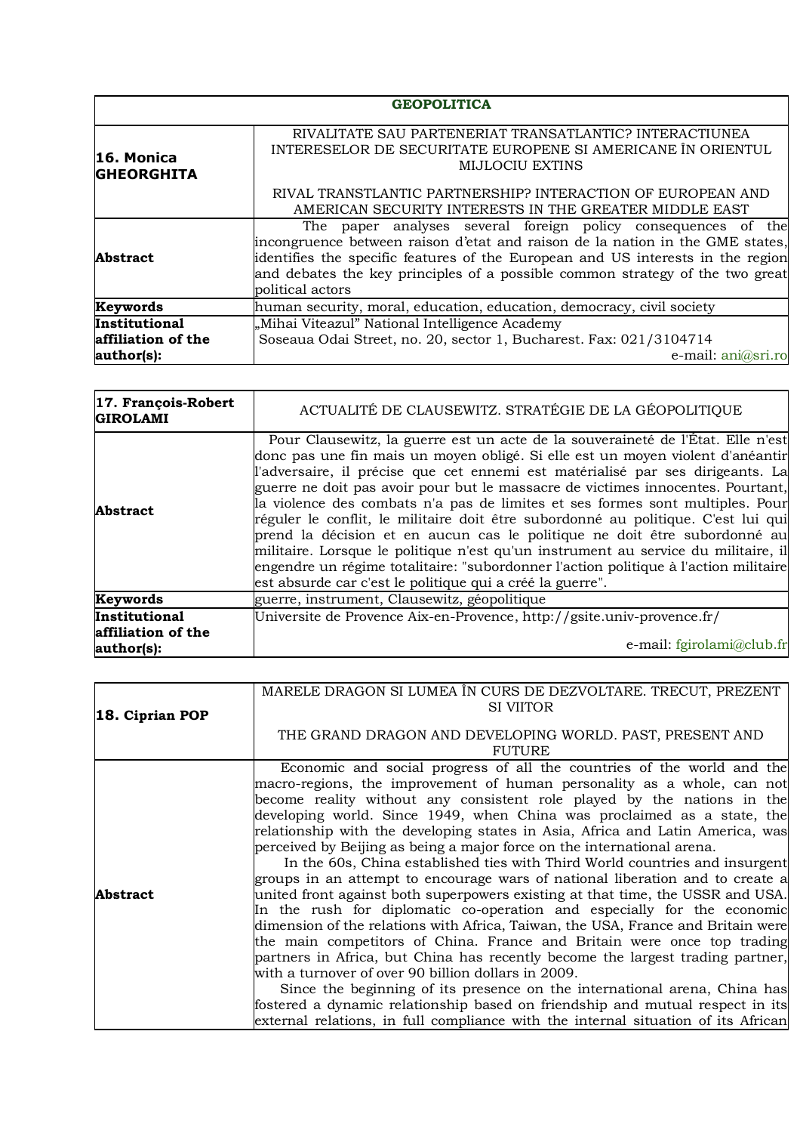|                                 | <b>GEOPOLITICA</b>                                                                                                                                                                                                                                                                                                                     |
|---------------------------------|----------------------------------------------------------------------------------------------------------------------------------------------------------------------------------------------------------------------------------------------------------------------------------------------------------------------------------------|
| 16. Monica<br><b>GHEORGHITA</b> | RIVALITATE SAU PARTENERIAT TRANSATLANTIC? INTERACTIUNEA<br>INTERESELOR DE SECURITATE EUROPENE SI AMERICANE ÎN ORIENTUL<br><b>MIJLOCIU EXTINS</b>                                                                                                                                                                                       |
|                                 | RIVAL TRANSTLANTIC PARTNERSHIP? INTERACTION OF EUROPEAN AND<br>AMERICAN SECURITY INTERESTS IN THE GREATER MIDDLE EAST                                                                                                                                                                                                                  |
| <b>Abstract</b>                 | The paper analyses several foreign policy consequences of the<br>incongruence between raison d'etat and raison de la nation in the GME states,<br>identifies the specific features of the European and US interests in the region<br>and debates the key principles of a possible common strategy of the two great<br>political actors |
| Keywords                        | human security, moral, education, education, democracy, civil society                                                                                                                                                                                                                                                                  |
| Institutional                   | "Mihai Viteazul" National Intelligence Academy                                                                                                                                                                                                                                                                                         |
| affiliation of the              | Soseaua Odai Street, no. 20, sector 1, Bucharest. Fax: 021/3104714                                                                                                                                                                                                                                                                     |
| author(s):                      | e-mail: ani@sri.ro                                                                                                                                                                                                                                                                                                                     |

| 17. François-Robert<br><b>GIROLAMI</b>            | ACTUALITÉ DE CLAUSEWITZ. STRATÉGIE DE LA GÉOPOLITIQUE                                                                                                                                                                                                                                                                                                                                                                                                                                                                                                                                                                                                                                                                                                                                                                                |
|---------------------------------------------------|--------------------------------------------------------------------------------------------------------------------------------------------------------------------------------------------------------------------------------------------------------------------------------------------------------------------------------------------------------------------------------------------------------------------------------------------------------------------------------------------------------------------------------------------------------------------------------------------------------------------------------------------------------------------------------------------------------------------------------------------------------------------------------------------------------------------------------------|
| <b>Abstract</b>                                   | Pour Clausewitz, la guerre est un acte de la souveraineté de l'État. Elle n'est<br>donc pas une fin mais un moyen obligé. Si elle est un moyen violent d'anéantir<br>l'adversaire, il précise que cet ennemi est matérialisé par ses dirigeants. La<br>guerre ne doit pas avoir pour but le massacre de victimes innocentes. Pourtant,<br>la violence des combats n'a pas de limites et ses formes sont multiples. Pour<br>réguler le conflit, le militaire doit être subordonné au politique. C'est lui qui<br>prend la décision et en aucun cas le politique ne doit être subordonné au<br>militaire. Lorsque le politique n'est qu'un instrument au service du militaire, il<br>engendre un régime totalitaire: "subordonner l'action politique à l'action militaire<br>est absurde car c'est le politique qui a créé la guerre". |
| Keywords                                          | guerre, instrument, Clausewitz, géopolitique                                                                                                                                                                                                                                                                                                                                                                                                                                                                                                                                                                                                                                                                                                                                                                                         |
| Institutional<br>affiliation of the<br>author(s): | Universite de Provence Aix-en-Provence, http://gsite.univ-provence.fr/<br>e-mail: fgirolami@club.fr                                                                                                                                                                                                                                                                                                                                                                                                                                                                                                                                                                                                                                                                                                                                  |

|                 | MARELE DRAGON SI LUMEA ÎN CURS DE DEZVOLTARE. TRECUT, PREZENT                     |
|-----------------|-----------------------------------------------------------------------------------|
| 18. Ciprian POP | <b>SI VIITOR</b>                                                                  |
|                 | THE GRAND DRAGON AND DEVELOPING WORLD. PAST, PRESENT AND                          |
|                 | <b>FUTURE</b>                                                                     |
|                 | Economic and social progress of all the countries of the world and the            |
|                 | macro-regions, the improvement of human personality as a whole, can not           |
|                 | become reality without any consistent role played by the nations in the           |
|                 | developing world. Since 1949, when China was proclaimed as a state, the           |
|                 | relationship with the developing states in Asia, Africa and Latin America, was    |
|                 | perceived by Beijing as being a major force on the international arena.           |
|                 | In the 60s, China established ties with Third World countries and insurgent       |
|                 | groups in an attempt to encourage wars of national liberation and to create a     |
| Abstract        | united front against both superpowers existing at that time, the USSR and USA.    |
|                 | In the rush for diplomatic co-operation and especially for the economic           |
|                 | dimension of the relations with Africa, Taiwan, the USA, France and Britain were  |
|                 | the main competitors of China. France and Britain were once top trading           |
|                 | partners in Africa, but China has recently become the largest trading partner,    |
|                 | with a turnover of over 90 billion dollars in 2009.                               |
|                 | Since the beginning of its presence on the international arena, China has         |
|                 | fostered a dynamic relationship based on friendship and mutual respect in its     |
|                 | external relations, in full compliance with the internal situation of its African |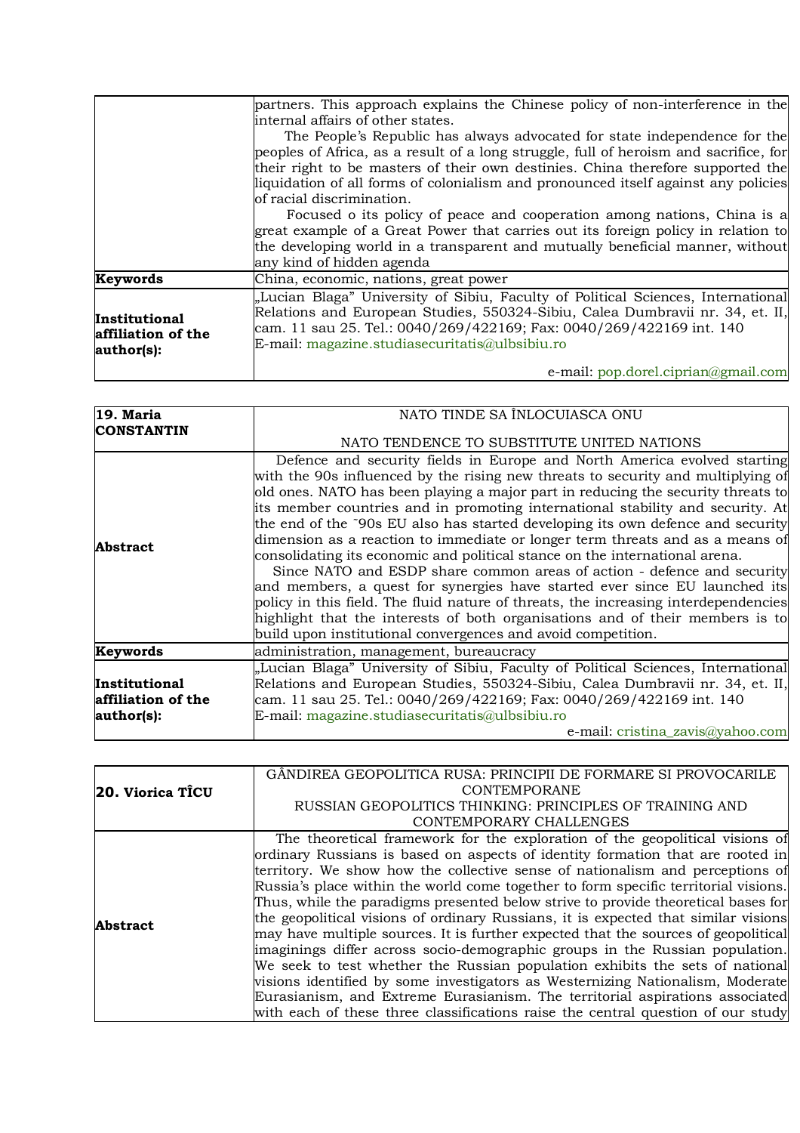|                                                   | partners. This approach explains the Chinese policy of non-interference in the                                                                                                                                                                                                              |
|---------------------------------------------------|---------------------------------------------------------------------------------------------------------------------------------------------------------------------------------------------------------------------------------------------------------------------------------------------|
|                                                   | internal affairs of other states.                                                                                                                                                                                                                                                           |
|                                                   | The People's Republic has always advocated for state independence for the                                                                                                                                                                                                                   |
|                                                   | peoples of Africa, as a result of a long struggle, full of heroism and sacrifice, for                                                                                                                                                                                                       |
|                                                   | their right to be masters of their own destinies. China therefore supported the                                                                                                                                                                                                             |
|                                                   | liquidation of all forms of colonialism and pronounced itself against any policies                                                                                                                                                                                                          |
|                                                   | of racial discrimination.                                                                                                                                                                                                                                                                   |
|                                                   | Focused o its policy of peace and cooperation among nations, China is a                                                                                                                                                                                                                     |
|                                                   | great example of a Great Power that carries out its foreign policy in relation to                                                                                                                                                                                                           |
|                                                   | the developing world in a transparent and mutually beneficial manner, without                                                                                                                                                                                                               |
|                                                   | any kind of hidden agenda                                                                                                                                                                                                                                                                   |
| Keywords                                          | China, economic, nations, great power                                                                                                                                                                                                                                                       |
| Institutional<br>affiliation of the<br>author(s): | "Lucian Blaga" University of Sibiu, Faculty of Political Sciences, International<br>Relations and European Studies, 550324-Sibiu, Calea Dumbravii nr. 34, et. II,<br>cam. 11 sau 25. Tel.: 0040/269/422169; Fax: 0040/269/422169 int. 140<br>E-mail: magazine.studiasecuritatis@ulbsibiu.ro |
|                                                   | e-mail: $pop.docel.ciprian@gmail.com$                                                                                                                                                                                                                                                       |

| NATO TINDE SA ÎNLOCUIASCA ONU                                                                                                                                                                                                                                                                                                                                                                                                                                                                                                                                                                                                                                                                                                                                                                                                                                                                                                                                                          |
|----------------------------------------------------------------------------------------------------------------------------------------------------------------------------------------------------------------------------------------------------------------------------------------------------------------------------------------------------------------------------------------------------------------------------------------------------------------------------------------------------------------------------------------------------------------------------------------------------------------------------------------------------------------------------------------------------------------------------------------------------------------------------------------------------------------------------------------------------------------------------------------------------------------------------------------------------------------------------------------|
| NATO TENDENCE TO SUBSTITUTE UNITED NATIONS                                                                                                                                                                                                                                                                                                                                                                                                                                                                                                                                                                                                                                                                                                                                                                                                                                                                                                                                             |
| Defence and security fields in Europe and North America evolved starting<br>with the 90s influenced by the rising new threats to security and multiplying of<br>old ones. NATO has been playing a major part in reducing the security threats to<br>its member countries and in promoting international stability and security. At<br>the end of the ~90s EU also has started developing its own defence and security<br>dimension as a reaction to immediate or longer term threats and as a means of<br>consolidating its economic and political stance on the international arena.<br>Since NATO and ESDP share common areas of action - defence and security<br>and members, a quest for synergies have started ever since EU launched its<br>policy in this field. The fluid nature of threats, the increasing interdependencies<br>highlight that the interests of both organisations and of their members is to<br>build upon institutional convergences and avoid competition. |
|                                                                                                                                                                                                                                                                                                                                                                                                                                                                                                                                                                                                                                                                                                                                                                                                                                                                                                                                                                                        |
| "Lucian Blaga" University of Sibiu, Faculty of Political Sciences, International<br>Relations and European Studies, 550324-Sibiu, Calea Dumbravii nr. 34, et. II,<br>cam. 11 sau 25. Tel.: 0040/269/422169; Fax: 0040/269/422169 int. 140<br>e-mail: cristina_zavis@yahoo.com                                                                                                                                                                                                                                                                                                                                                                                                                                                                                                                                                                                                                                                                                                          |
|                                                                                                                                                                                                                                                                                                                                                                                                                                                                                                                                                                                                                                                                                                                                                                                                                                                                                                                                                                                        |

| <b>20. Viorica TICU</b> | GÂNDIREA GEOPOLITICA RUSA: PRINCIPII DE FORMARE SI PROVOCARILE                      |
|-------------------------|-------------------------------------------------------------------------------------|
|                         | <b>CONTEMPORANE</b>                                                                 |
|                         | RUSSIAN GEOPOLITICS THINKING: PRINCIPLES OF TRAINING AND                            |
|                         | CONTEMPORARY CHALLENGES                                                             |
|                         | The theoretical framework for the exploration of the geopolitical visions of        |
| <b>Abstract</b>         | ordinary Russians is based on aspects of identity formation that are rooted in      |
|                         | territory. We show how the collective sense of nationalism and perceptions of       |
|                         | Russia's place within the world come together to form specific territorial visions. |
|                         | Thus, while the paradigms presented below strive to provide theoretical bases for   |
|                         | the geopolitical visions of ordinary Russians, it is expected that similar visions  |
|                         | may have multiple sources. It is further expected that the sources of geopolitical  |
|                         | imaginings differ across socio-demographic groups in the Russian population.        |
|                         | We seek to test whether the Russian population exhibits the sets of national        |
|                         | visions identified by some investigators as Westernizing Nationalism, Moderate      |
|                         | Eurasianism, and Extreme Eurasianism. The territorial aspirations associated        |
|                         | with each of these three classifications raise the central question of our study    |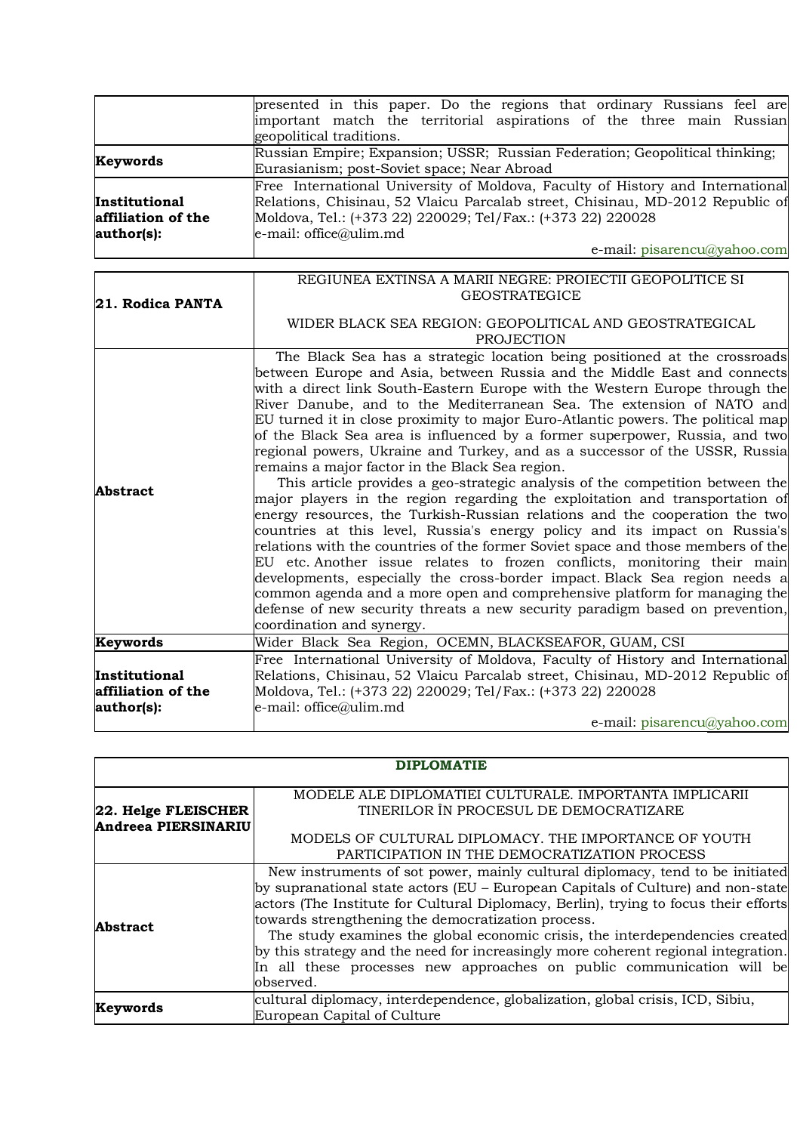|                                                   | presented in this paper. Do the regions that ordinary Russians feel are<br>important match the territorial aspirations of the three main Russian<br>geopolitical traditions.                                                                                                                                                                                                                                                                                                                                                                                                                                                                                                                                                                                                                                                                                                                                                                                                                                                                                                                                                                                                                                                                                                                                                                                                             |
|---------------------------------------------------|------------------------------------------------------------------------------------------------------------------------------------------------------------------------------------------------------------------------------------------------------------------------------------------------------------------------------------------------------------------------------------------------------------------------------------------------------------------------------------------------------------------------------------------------------------------------------------------------------------------------------------------------------------------------------------------------------------------------------------------------------------------------------------------------------------------------------------------------------------------------------------------------------------------------------------------------------------------------------------------------------------------------------------------------------------------------------------------------------------------------------------------------------------------------------------------------------------------------------------------------------------------------------------------------------------------------------------------------------------------------------------------|
| Keywords                                          | Russian Empire; Expansion; USSR; Russian Federation; Geopolitical thinking;<br>Eurasianism; post-Soviet space; Near Abroad                                                                                                                                                                                                                                                                                                                                                                                                                                                                                                                                                                                                                                                                                                                                                                                                                                                                                                                                                                                                                                                                                                                                                                                                                                                               |
| Institutional<br>affiliation of the<br>author(s): | Free International University of Moldova, Faculty of History and International<br>Relations, Chisinau, 52 Vlaicu Parcalab street, Chisinau, MD-2012 Republic of<br>Moldova, Tel.: (+373 22) 220029; Tel/Fax.: (+373 22) 220028<br>e-mail: office@ulim.md                                                                                                                                                                                                                                                                                                                                                                                                                                                                                                                                                                                                                                                                                                                                                                                                                                                                                                                                                                                                                                                                                                                                 |
|                                                   | e-mail: pisarencu@yahoo.com                                                                                                                                                                                                                                                                                                                                                                                                                                                                                                                                                                                                                                                                                                                                                                                                                                                                                                                                                                                                                                                                                                                                                                                                                                                                                                                                                              |
|                                                   |                                                                                                                                                                                                                                                                                                                                                                                                                                                                                                                                                                                                                                                                                                                                                                                                                                                                                                                                                                                                                                                                                                                                                                                                                                                                                                                                                                                          |
| 21. Rodica PANTA                                  | REGIUNEA EXTINSA A MARII NEGRE: PROIECTII GEOPOLITICE SI<br><b>GEOSTRATEGICE</b>                                                                                                                                                                                                                                                                                                                                                                                                                                                                                                                                                                                                                                                                                                                                                                                                                                                                                                                                                                                                                                                                                                                                                                                                                                                                                                         |
|                                                   | WIDER BLACK SEA REGION: GEOPOLITICAL AND GEOSTRATEGICAL<br><b>PROJECTION</b>                                                                                                                                                                                                                                                                                                                                                                                                                                                                                                                                                                                                                                                                                                                                                                                                                                                                                                                                                                                                                                                                                                                                                                                                                                                                                                             |
| <b>Abstract</b>                                   | The Black Sea has a strategic location being positioned at the crossroads<br>between Europe and Asia, between Russia and the Middle East and connects<br>with a direct link South-Eastern Europe with the Western Europe through the<br>River Danube, and to the Mediterranean Sea. The extension of NATO and<br>EU turned it in close proximity to major Euro-Atlantic powers. The political map<br>of the Black Sea area is influenced by a former superpower, Russia, and two<br>regional powers, Ukraine and Turkey, and as a successor of the USSR, Russia<br>remains a major factor in the Black Sea region.<br>This article provides a geo-strategic analysis of the competition between the<br>major players in the region regarding the exploitation and transportation of<br>energy resources, the Turkish-Russian relations and the cooperation the two<br>countries at this level, Russia's energy policy and its impact on Russia's<br>relations with the countries of the former Soviet space and those members of the<br>EU etc. Another issue relates to frozen conflicts, monitoring their main<br>developments, especially the cross-border impact. Black Sea region needs a<br>common agenda and a more open and comprehensive platform for managing the<br>defense of new security threats a new security paradigm based on prevention,<br>coordination and synergy. |
| Keywords                                          | Wider Black Sea Region, OCEMN, BLACKSEAFOR, GUAM, CSI                                                                                                                                                                                                                                                                                                                                                                                                                                                                                                                                                                                                                                                                                                                                                                                                                                                                                                                                                                                                                                                                                                                                                                                                                                                                                                                                    |
| Institutional<br>affiliation of the<br>author(s): | Free International University of Moldova, Faculty of History and International<br>Relations, Chisinau, 52 Vlaicu Parcalab street, Chisinau, MD-2012 Republic of<br>Moldova, Tel.: (+373 22) 220029; Tel/Fax.: (+373 22) 220028<br>e-mail: office@ulim.md                                                                                                                                                                                                                                                                                                                                                                                                                                                                                                                                                                                                                                                                                                                                                                                                                                                                                                                                                                                                                                                                                                                                 |
|                                                   | e-mail: pisarencu@yahoo.com                                                                                                                                                                                                                                                                                                                                                                                                                                                                                                                                                                                                                                                                                                                                                                                                                                                                                                                                                                                                                                                                                                                                                                                                                                                                                                                                                              |

| <b>DIPLOMATIE</b>                                 |                                                                                                                                                                                                                                                                                                                                                                                                                                                                                                                                                                            |  |
|---------------------------------------------------|----------------------------------------------------------------------------------------------------------------------------------------------------------------------------------------------------------------------------------------------------------------------------------------------------------------------------------------------------------------------------------------------------------------------------------------------------------------------------------------------------------------------------------------------------------------------------|--|
| 22. Helge FLEISCHER<br><b>Andreea PIERSINARIU</b> | MODELE ALE DIPLOMATIEI CULTURALE. IMPORTANTA IMPLICARII<br>TINERILOR ÎN PROCESUL DE DEMOCRATIZARE                                                                                                                                                                                                                                                                                                                                                                                                                                                                          |  |
|                                                   | MODELS OF CULTURAL DIPLOMACY. THE IMPORTANCE OF YOUTH<br>PARTICIPATION IN THE DEMOCRATIZATION PROCESS                                                                                                                                                                                                                                                                                                                                                                                                                                                                      |  |
| Abstract                                          | New instruments of sot power, mainly cultural diplomacy, tend to be initiated<br>by supranational state actors (EU – European Capitals of Culture) and non-state<br>actors (The Institute for Cultural Diplomacy, Berlin), trying to focus their efforts<br>towards strengthening the democratization process.<br>The study examines the global economic crisis, the interdependencies created<br>by this strategy and the need for increasingly more coherent regional integration.<br>In all these processes new approaches on public communication will be<br>observed. |  |
| Keywords                                          | cultural diplomacy, interdependence, globalization, global crisis, ICD, Sibiu,<br>European Capital of Culture                                                                                                                                                                                                                                                                                                                                                                                                                                                              |  |